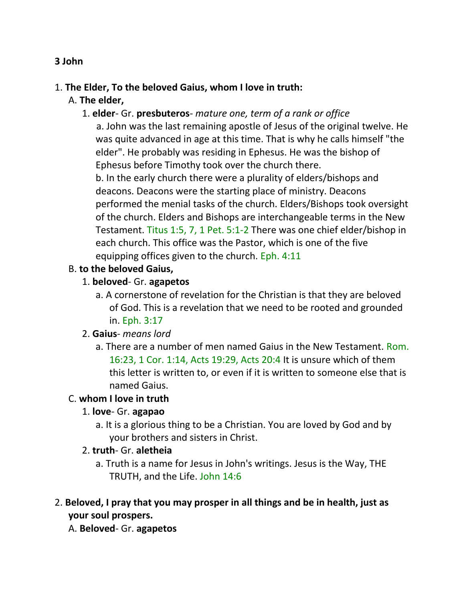#### **3 John**

#### 1. **The Elder, To the beloved Gaius, whom I love in truth:**

A. **The elder,**

#### 1. **elder**- Gr. **presbuteros**- *mature one, term of a rank or office*

 a. John was the last remaining apostle of Jesus of the original twelve. He was quite advanced in age at this time. That is why he calls himself "the elder". He probably was residing in Ephesus. He was the bishop of Ephesus before Timothy took over the church there.

b. In the early church there were a plurality of elders/bishops and deacons. Deacons were the starting place of ministry. Deacons performed the menial tasks of the church. Elders/Bishops took oversight of the church. Elders and Bishops are interchangeable terms in the New Testament. Titus 1:5, 7, 1 Pet. 5:1-2 There was one chief elder/bishop in each church. This office was the Pastor, which is one of the five equipping offices given to the church. Eph. 4:11

### B. **to the beloved Gaius,**

### 1. **beloved**- Gr. **agapetos**

a. A cornerstone of revelation for the Christian is that they are beloved of God. This is a revelation that we need to be rooted and grounded in. Eph. 3:17

# 2. **Gaius**- *means lord*

a. There are a number of men named Gaius in the New Testament. Rom. 16:23, 1 Cor. 1:14, Acts 19:29, Acts 20:4 It is unsure which of them this letter is written to, or even if it is written to someone else that is named Gaius.

#### C. **whom I love in truth**

# 1. **love**- Gr. **agapao**

- a. It is a glorious thing to be a Christian. You are loved by God and by your brothers and sisters in Christ.
- 2. **truth** Gr. **aletheia**
	- a. Truth is a name for Jesus in John's writings. Jesus is the Way, THE TRUTH, and the Life. John 14:6
- 2. **Beloved, I pray that you may prosper in all things and be in health, just as your soul prospers.**
	- A. **Beloved** Gr. **agapetos**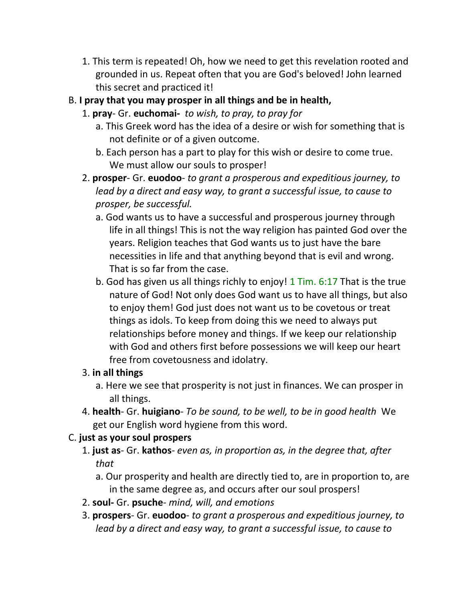- 1. This term is repeated! Oh, how we need to get this revelation rooted and grounded in us. Repeat often that you are God's beloved! John learned this secret and practiced it!
- B. **I pray that you may prosper in all things and be in health,**
	- 1. **pray** Gr. **euchomai-** *to wish, to pray, to pray for*
		- a. This Greek word has the idea of a desire or wish for something that is not definite or of a given outcome.
		- b. Each person has a part to play for this wish or desire to come true. We must allow our souls to prosper!
	- 2. **prosper** Gr. **euodoo** *to grant a prosperous and expeditious journey, to lead by a direct and easy way, to grant a successful issue, to cause to prosper, be successful.*
		- a. God wants us to have a successful and prosperous journey through life in all things! This is not the way religion has painted God over the years. Religion teaches that God wants us to just have the bare necessities in life and that anything beyond that is evil and wrong. That is so far from the case.
		- b. God has given us all things richly to enjoy! 1 Tim. 6:17 That is the true nature of God! Not only does God want us to have all things, but also to enjoy them! God just does not want us to be covetous or treat things as idols. To keep from doing this we need to always put relationships before money and things. If we keep our relationship with God and others first before possessions we will keep our heart free from covetousness and idolatry.

# 3. **in all things**

- a. Here we see that prosperity is not just in finances. We can prosper in all things.
- 4. **health** Gr. **huigiano** *To be sound, to be well, to be in good health* We get our English word hygiene from this word.

# C. **just as your soul prospers**

- 1. **just as** Gr. **kathos** *even as, in proportion as, in the degree that, after that*
	- a. Our prosperity and health are directly tied to, are in proportion to, are in the same degree as, and occurs after our soul prospers!
- 2. **soul-** Gr. **psuche** *mind, will, and emotions*
- 3. **prospers** Gr. **euodoo** *to grant a prosperous and expeditious journey, to lead by a direct and easy way, to grant a successful issue, to cause to*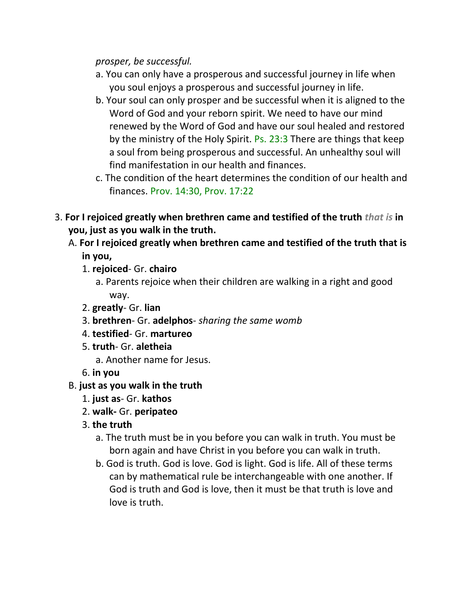*prosper, be successful.*

- a. You can only have a prosperous and successful journey in life when you soul enjoys a prosperous and successful journey in life.
- b. Your soul can only prosper and be successful when it is aligned to the Word of God and your reborn spirit. We need to have our mind renewed by the Word of God and have our soul healed and restored by the ministry of the Holy Spirit. Ps. 23:3 There are things that keep a soul from being prosperous and successful. An unhealthy soul will find manifestation in our health and finances.
- c. The condition of the heart determines the condition of our health and finances. Prov. 14:30, Prov. 17:22
- 3. **For I rejoiced greatly when brethren came and testified of the truth** *that is* **in you, just as you walk in the truth.**
	- A. **For I rejoiced greatly when brethren came and testified of the truth that is in you,**
		- 1. **rejoiced** Gr. **chairo**
			- a. Parents rejoice when their children are walking in a right and good way.
		- 2. **greatly** Gr. **lian**
		- 3. **brethren** Gr. **adelphos** *sharing the same womb*
		- 4. **testified** Gr. **martureo**
		- 5. **truth** Gr. **aletheia**
			- a. Another name for Jesus.

6. **in you**

# B. **just as you walk in the truth**

- 1. **just as** Gr. **kathos**
- 2. **walk-** Gr. **peripateo**
- 3. **the truth**
	- a. The truth must be in you before you can walk in truth. You must be born again and have Christ in you before you can walk in truth.
	- b. God is truth. God is love. God is light. God is life. All of these terms can by mathematical rule be interchangeable with one another. If God is truth and God is love, then it must be that truth is love and love is truth.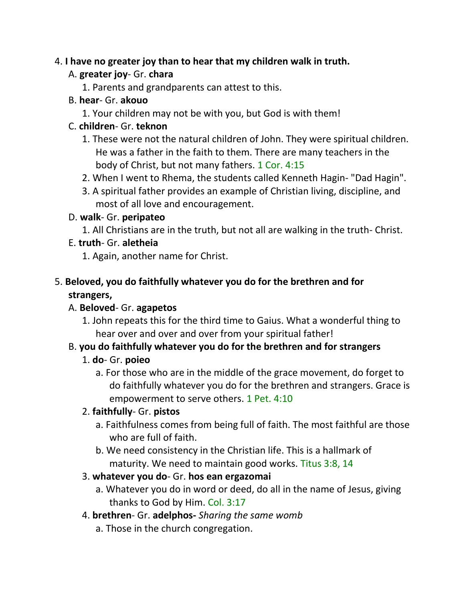# 4. **I have no greater joy than to hear that my children walk in truth.**

# A. **greater joy**- Gr. **chara**

1. Parents and grandparents can attest to this.

# B. **hear**- Gr. **akouo**

1. Your children may not be with you, but God is with them!

# C. **children**- Gr. **teknon**

- 1. These were not the natural children of John. They were spiritual children. He was a father in the faith to them. There are many teachers in the body of Christ, but not many fathers. 1 Cor. 4:15
- 2. When I went to Rhema, the students called Kenneth Hagin- "Dad Hagin".
- 3. A spiritual father provides an example of Christian living, discipline, and most of all love and encouragement.

# D. **walk**- Gr. **peripateo**

1. All Christians are in the truth, but not all are walking in the truth- Christ.

# E. **truth**- Gr. **aletheia**

1. Again, another name for Christ.

# 5. **Beloved, you do faithfully whatever you do for the brethren and for strangers,**

# A. **Beloved**- Gr. **agapetos**

1. John repeats this for the third time to Gaius. What a wonderful thing to hear over and over and over from your spiritual father!

# B. **you do faithfully whatever you do for the brethren and for strangers**

# 1. **do**- Gr. **poieo**

a. For those who are in the middle of the grace movement, do forget to do faithfully whatever you do for the brethren and strangers. Grace is empowerment to serve others. 1 Pet. 4:10

# 2. **faithfully**- Gr. **pistos**

- a. Faithfulness comes from being full of faith. The most faithful are those who are full of faith.
- b. We need consistency in the Christian life. This is a hallmark of maturity. We need to maintain good works. Titus 3:8, 14

# 3. **whatever you do**- Gr. **hos ean ergazomai**

a. Whatever you do in word or deed, do all in the name of Jesus, giving thanks to God by Him. Col. 3:17

# 4. **brethren**- Gr. **adelphos-** *Sharing the same womb*

a. Those in the church congregation.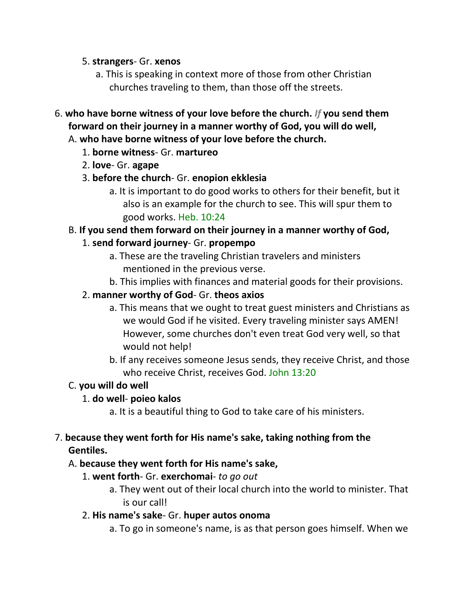#### 5. **strangers**- Gr. **xenos**

- a. This is speaking in context more of those from other Christian churches traveling to them, than those off the streets.
- 6. **who have borne witness of your love before the church.** *If* **you send them forward on their journey in a manner worthy of God, you will do well,**  A. **who have borne witness of your love before the church.**

# 1. **borne witness**- Gr. **martureo**

- 2. **love** Gr. **agape**
- 3. **before the church** Gr. **enopion ekklesia**
	- a. It is important to do good works to others for their benefit, but it also is an example for the church to see. This will spur them to good works. Heb. 10:24

# B. **If you send them forward on their journey in a manner worthy of God,**

# 1. **send forward journey**- Gr. **propempo**

- a. These are the traveling Christian travelers and ministers mentioned in the previous verse.
- b. This implies with finances and material goods for their provisions.

# 2. **manner worthy of God**- Gr. **theos axios**

- a. This means that we ought to treat guest ministers and Christians as we would God if he visited. Every traveling minister says AMEN! However, some churches don't even treat God very well, so that would not help!
- b. If any receives someone Jesus sends, they receive Christ, and those who receive Christ, receives God. John 13:20

# C. **you will do well**

# 1. **do well**- **poieo kalos**

a. It is a beautiful thing to God to take care of his ministers.

# 7. **because they went forth for His name's sake, taking nothing from the Gentiles.**

# A. **because they went forth for His name's sake,**

- 1. **went forth** Gr. **exerchomai** *to go out*
	- a. They went out of their local church into the world to minister. That is our call!

# 2. **His name's sake**- Gr. **huper autos onoma**

a. To go in someone's name, is as that person goes himself. When we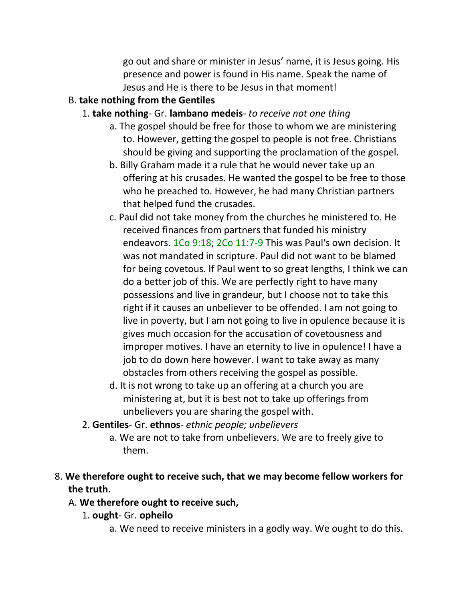go out and share or minister in Jesus' name, it is Jesus going. His presence and power is found in His name. Speak the name of Jesus and He is there to be Jesus in that moment!

# B. **take nothing from the Gentiles**

- 1. **take nothing** Gr. **lambano medeis** *to receive not one thing*
	- a. The gospel should be free for those to whom we are ministering to. However, getting the gospel to people is not free. Christians should be giving and supporting the proclamation of the gospel.
	- b. Billy Graham made it a rule that he would never take up an offering at his crusades. He wanted the gospel to be free to those who he preached to. However, he had many Christian partners that helped fund the crusades.
	- c. Paul did not take money from the churches he ministered to. He received finances from partners that funded his ministry endeavors. 1Co 9:18; 2Co 11:7-9 This was Paul's own decision. It was not mandated in scripture. Paul did not want to be blamed for being covetous. If Paul went to so great lengths, I think we can do a better job of this. We are perfectly right to have many possessions and live in grandeur, but I choose not to take this right if it causes an unbeliever to be offended. I am not going to live in poverty, but I am not going to live in opulence because it is gives much occasion for the accusation of covetousness and improper motives. I have an eternity to live in opulence! I have a job to do down here however. I want to take away as many obstacles from others receiving the gospel as possible.
	- d. It is not wrong to take up an offering at a church you are ministering at, but it is best not to take up offerings from unbelievers you are sharing the gospel with.
- 2. **Gentiles** Gr. **ethnos** *ethnic people; unbelievers*
	- a. We are not to take from unbelievers. We are to freely give to them.
- 8. **We therefore ought to receive such, that we may become fellow workers for the truth.**

# A. **We therefore ought to receive such,**

- 1. **ought** Gr. **opheilo**
	- a. We need to receive ministers in a godly way. We ought to do this.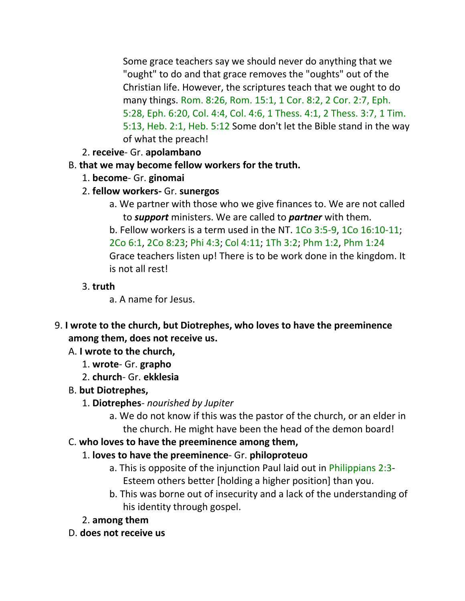Some grace teachers say we should never do anything that we "ought" to do and that grace removes the "oughts" out of the Christian life. However, the scriptures teach that we ought to do many things. Rom. 8:26, Rom. 15:1, 1 Cor. 8:2, 2 Cor. 2:7, Eph. 5:28, Eph. 6:20, Col. 4:4, Col. 4:6, 1 Thess. 4:1, 2 Thess. 3:7, 1 Tim. 5:13, Heb. 2:1, Heb. 5:12 Some don't let the Bible stand in the way of what the preach!

- 2. **receive** Gr. **apolambano**
- B. **that we may become fellow workers for the truth.**
	- 1. **become** Gr. **ginomai**
	- 2. **fellow workers-** Gr. **sunergos**
		- a. We partner with those who we give finances to. We are not called to *support* ministers. We are called to *partner* with them.
		- b. Fellow workers is a term used in the NT. 1Co 3:5-9, 1Co 16:10-11; 2Co 6:1, 2Co 8:23; Phi 4:3; Col 4:11; 1Th 3:2; Phm 1:2, Phm 1:24 Grace teachers listen up! There is to be work done in the kingdom. It is not all rest!

# 3. **truth**

- a. A name for Jesus.
- 9. **I wrote to the church, but Diotrephes, who loves to have the preeminence among them, does not receive us.** 
	- A. **I wrote to the church,**
		- 1. **wrote** Gr. **grapho**
		- 2. **church** Gr. **ekklesia**
	- B. **but Diotrephes,**
		- 1. **Diotrephes** *nourished by Jupiter*
			- a. We do not know if this was the pastor of the church, or an elder in the church. He might have been the head of the demon board!

# C. **who loves to have the preeminence among them,**

- 1. **loves to have the preeminence** Gr. **philoproteuo**
	- a. This is opposite of the injunction Paul laid out in Philippians 2:3- Esteem others better [holding a higher position] than you.
	- b. This was borne out of insecurity and a lack of the understanding of his identity through gospel.
- 2. **among them**
- D. **does not receive us**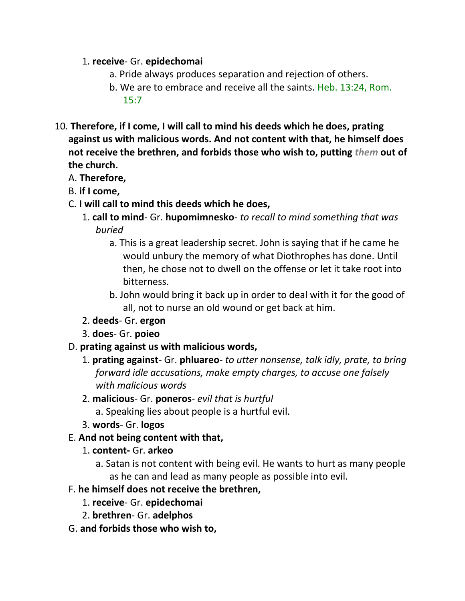#### 1. **receive**- Gr. **epidechomai**

- a. Pride always produces separation and rejection of others.
- b. We are to embrace and receive all the saints. Heb. 13:24, Rom. 15:7
- 10. **Therefore, if I come, I will call to mind his deeds which he does, prating against us with malicious words. And not content with that, he himself does not receive the brethren, and forbids those who wish to, putting** *them* **out of the church.**
	- A. **Therefore,**
	- B. **if I come,**
	- C. **I will call to mind this deeds which he does,**
		- 1. **call to mind** Gr. **hupomimnesko** *to recall to mind something that was buried*
			- a. This is a great leadership secret. John is saying that if he came he would unbury the memory of what Diothrophes has done. Until then, he chose not to dwell on the offense or let it take root into bitterness.
			- b. John would bring it back up in order to deal with it for the good of all, not to nurse an old wound or get back at him.
		- 2. **deeds** Gr. **ergon**
		- 3. **does** Gr. **poieo**
	- D. **prating against us with malicious words,**
		- 1. **prating against** Gr. **phluareo** *to utter nonsense, talk idly, prate, to bring forward idle accusations, make empty charges, to accuse one falsely with malicious words*
		- 2. **malicious** Gr. **poneros** *evil that is hurtful*
			- a. Speaking lies about people is a hurtful evil.
		- 3. **words** Gr. **logos**
	- E. **And not being content with that,**
		- 1. **content-** Gr. **arkeo**
			- a. Satan is not content with being evil. He wants to hurt as many people as he can and lead as many people as possible into evil.
	- F. **he himself does not receive the brethren,**
		- 1. **receive** Gr. **epidechomai**
		- 2. **brethren** Gr. **adelphos**
	- G. **and forbids those who wish to,**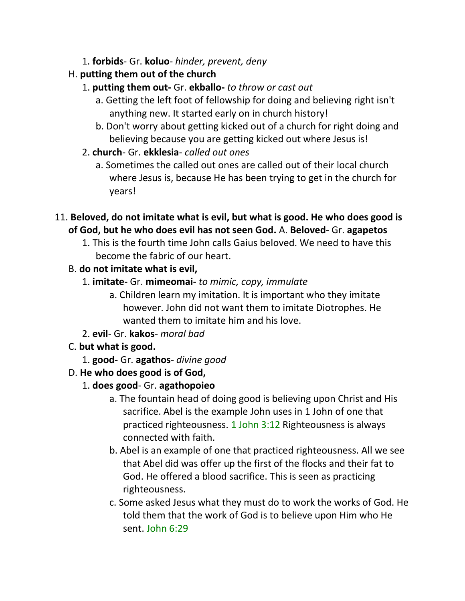- 1. **forbids** Gr. **koluo** *hinder, prevent, deny*
- H. **putting them out of the church**
	- 1. **putting them out-** Gr. **ekballo-** *to throw or cast out*
		- a. Getting the left foot of fellowship for doing and believing right isn't anything new. It started early on in church history!
		- b. Don't worry about getting kicked out of a church for right doing and believing because you are getting kicked out where Jesus is!
	- 2. **church** Gr. **ekklesia** *called out ones*
		- a. Sometimes the called out ones are called out of their local church where Jesus is, because He has been trying to get in the church for years!
- 11. **Beloved, do not imitate what is evil, but what is good. He who does good is of God, but he who does evil has not seen God.** A. **Beloved**- Gr. **agapetos**
	- 1. This is the fourth time John calls Gaius beloved. We need to have this become the fabric of our heart.
	- B. **do not imitate what is evil,**
		- 1. **imitate-** Gr. **mimeomai-** *to mimic, copy, immulate*
			- a. Children learn my imitation. It is important who they imitate however. John did not want them to imitate Diotrophes. He wanted them to imitate him and his love.
		- 2. **evil** Gr. **kakos** *moral bad*
	- C. **but what is good.**
		- 1. **good-** Gr. **agathos** *divine good*
	- D. **He who does good is of God,**
		- 1. **does good** Gr. **agathopoieo**
			- a. The fountain head of doing good is believing upon Christ and His sacrifice. Abel is the example John uses in 1 John of one that practiced righteousness. 1 John 3:12 Righteousness is always connected with faith.
			- b. Abel is an example of one that practiced righteousness. All we see that Abel did was offer up the first of the flocks and their fat to God. He offered a blood sacrifice. This is seen as practicing righteousness.
			- c. Some asked Jesus what they must do to work the works of God. He told them that the work of God is to believe upon Him who He sent. John 6:29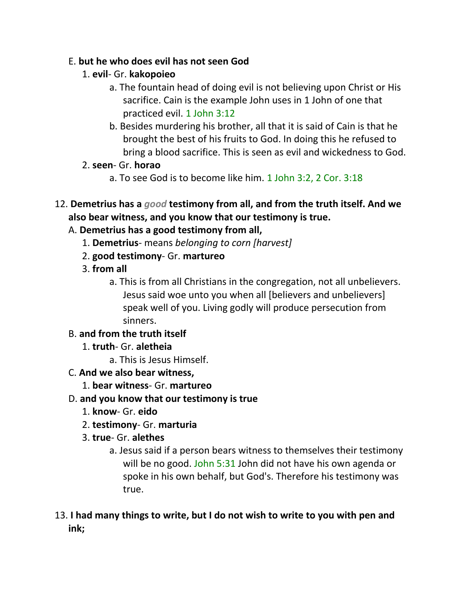### E. **but he who does evil has not seen God**

- 1. **evil** Gr. **kakopoieo**
	- a. The fountain head of doing evil is not believing upon Christ or His sacrifice. Cain is the example John uses in 1 John of one that practiced evil. 1 John 3:12
	- b. Besides murdering his brother, all that it is said of Cain is that he brought the best of his fruits to God. In doing this he refused to bring a blood sacrifice. This is seen as evil and wickedness to God.
- 2. **seen** Gr. **horao**
	- a. To see God is to become like him. 1 John 3:2, 2 Cor. 3:18
- 12. **Demetrius has a** *good* **testimony from all, and from the truth itself. And we also bear witness, and you know that our testimony is true.**

# A. **Demetrius has a good testimony from all,**

- 1. **Demetrius** means *belonging to corn [harvest]*
- 2. **good testimony** Gr. **martureo**
- 3. **from all**
	- a. This is from all Christians in the congregation, not all unbelievers. Jesus said woe unto you when all [believers and unbelievers] speak well of you. Living godly will produce persecution from sinners.

# B. **and from the truth itself**

- 1. **truth** Gr. **aletheia**
	- a. This is Jesus Himself.
- C. **And we also bear witness,**
	- 1. **bear witness** Gr. **martureo**
- D. **and you know that our testimony is true**
	- 1. **know** Gr. **eido**
	- 2. **testimony** Gr. **marturia**
	- 3. **true** Gr. **alethes**
		- a. Jesus said if a person bears witness to themselves their testimony will be no good. John 5:31 John did not have his own agenda or spoke in his own behalf, but God's. Therefore his testimony was true.
- 13. **I had many things to write, but I do not wish to write to you with pen and ink;**